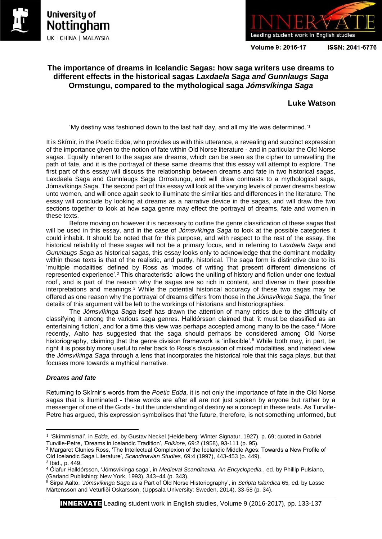





Volume 9: 2016-17

ISSN: 2041-6776

# **The importance of dreams in Icelandic Sagas: how saga writers use dreams to different effects in the historical sagas** *Laxdaela Saga and Gunnlaugs Saga* **Ormstungu, compared to the mythological saga** *Jómsvíkinga Saga*

## **Luke Watson**

'My destiny was fashioned down to the last half day, and all my life was determined.'<sup>1</sup>

It is Skírnir, in the Poetic Edda, who provides us with this utterance, a revealing and succinct expression of the importance given to the notion of fate within Old Norse literature - and in particular the Old Norse sagas. Equally inherent to the sagas are dreams, which can be seen as the cipher to unravelling the path of fate, and it is the portrayal of these same dreams that this essay will attempt to explore. The first part of this essay will discuss the relationship between dreams and fate in two historical sagas, Laxdaela Saga and Gunnlaugs Saga Ormstungu, and will draw contrasts to a mythological saga, Jómsvíkinga Saga. The second part of this essay will look at the varying levels of power dreams bestow unto women, and will once again seek to illuminate the similarities and differences in the literature. The essay will conclude by looking at dreams as a narrative device in the sagas, and will draw the two sections together to look at how saga genre may effect the portrayal of dreams, fate and women in these texts.

Before moving on however it is necessary to outline the genre classification of these sagas that will be used in this essay, and in the case of *Jómsvíkinga Saga* to look at the possible categories it could inhabit. It should be noted that for this purpose, and with respect to the rest of the essay, the historical reliability of these sagas will not be a primary focus, and in referring to *Laxdaela Saga* and *Gunnlaugs Saga* as historical sagas, this essay looks only to acknowledge that the dominant modality within these texts is that of the realistic, and partly, historical. The saga form is distinctive due to its 'multiple modalities' defined by Ross as 'modes of writing that present different dimensions of represented experience'.<sup>2</sup> This characteristic 'allows the uniting of history and fiction under one textual roof', and is part of the reason why the sagas are so rich in content, and diverse in their possible interpretations and meanings. $3$  While the potential historical accuracy of these two sagas may be offered as one reason why the portrayal of dreams differs from those in the *Jómsvíkinga Saga*, the finer details of this argument will be left to the workings of historians and historiographies.

The *Jómsvíkinga Saga* itself has drawn the attention of many critics due to the difficulty of classifying it among the various saga genres. Halldórsson claimed that 'it must be classified as an entertaining fiction', and for a time this view was perhaps accepted among many to be the case.<sup>4</sup> More recently, Aalto has suggested that the saga should perhaps be considered among Old Norse historiography, claiming that the genre division framework is 'inflexible'.<sup>5</sup> While both may, in part, be right it is possibly more useful to refer back to Ross's discussion of mixed modalities, and instead view the *Jómsvíkinga Saga* through a lens that incorporates the historical role that this saga plays, but that focuses more towards a mythical narrative.

### *Dreams and fate*

Returning to Skírnir's words from the *Poetic Edda,* it is not only the importance of fate in the Old Norse sagas that is illuminated - these words are after all are not just spoken by anyone but rather by a messenger of one of the Gods - but the understanding of destiny as a concept in these texts. As Turville-Petre has argued, this expression symbolises that 'the future, therefore, is not something unformed, but

1

<sup>1</sup> 'Skímrnismál', in *Edda*, ed. by Gustav Neckel (Heidelberg: Winter Signatur, 1927), p. 69; quoted in Gabriel Turville-Petre, 'Dreams in Icelandic Tradition', *Folklore*, 69:2 (1958), 93-111 (p. 95).

<sup>2</sup> Margaret Clunies Ross, 'The Intellectual Complexion of the Icelandic Middle Ages: Towards a New Profile of Old Icelandic Saga Literature', *Scandinavian Studies,* 69:4 (1997), 443-453 (p. 449).

<sup>3</sup> Ibid., p. 449.

<sup>4</sup> Ólafur Halldórsson, 'Jómsvíkinga saga', in *Medieval Scandinavia. An Encyclopedia.*, ed. by Phillip Pulsiano, (Garland Publishing: New York, 1993), 343–44 (p. 343).

<sup>5</sup> Sirpa Aalto, '*Jómsvíkinga Saga* as a Part of Old Norse Historiography', in *Scripta Islandica* 65*,* ed. by Lasse Mårtensson and Veturliði Oskarsson, (Uppsala University: Sweden, 2014), 33-58 (p. 34).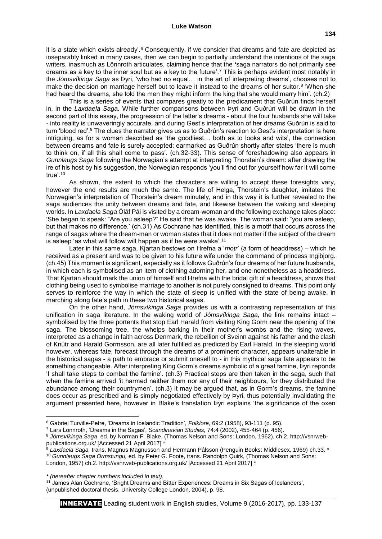#### **Luke Watson**

it is a state which exists already'.<sup>6</sup> Consequently, if we consider that dreams and fate are depicted as inseparably linked in many cases, then we can begin to partially understand the intentions of the saga writers, inasmuch as Lönnroth articulates, claiming hence that the **'**saga narrators do not primarily see dreams as a key to the inner soul but as a key to the future'.<sup>7</sup> This is perhaps evident most notably in the *Jómsvíkinga Saga* as Þyri, 'who had no equal… in the art of interpreting dreams', chooses not to make the decision on marriage herself but to leave it instead to the dreams of her suitor.<sup>8</sup> 'When she had heard the dreams, she told the men they might inform the king that she would marry him'. (ch.2)

This is a series of events that compares greatly to the predicament that Guðrún finds herself in, in the *Laxdaela Saga.* While further comparisons between Þyri and Guðrún will be drawn in the second part of this essay, the progression of the latter's dreams - about the four husbands she will take - into reality is unwaveringly accurate, and during Gest's interpretation of her dreams Guðrún is said to turn 'blood red'.<sup>9</sup> The clues the narrator gives us as to Guðrún's reaction to Gest's interpretation is here intriguing, as for a woman described as 'the goodliest… both as to looks and wits', the connection between dreams and fate is surely accepted: earmarked as Guðrún shortly after states 'there is much to think on, if all this shall come to pass'. (ch.32-33). This sense of foreshadowing also appears in *Gunnlaugs Saga* following the Norwegian's attempt at interpreting Thorstein's dream: after drawing the ire of his host by his suggestion, the Norwegian responds 'you'll find out for yourself how far it will come true'. $10$ 

As shown, the extent to which the characters are willing to accept these foresights vary, however the end results are much the same. The life of Helga, Thorstein's daughter, imitates the Norwegian's interpretation of Thorstein's dream minutely, and in this way it is further revealed to the saga audiences the unity between dreams and fate, and likewise between the waking and sleeping worlds. In *Laxdaela Saga* Óláf Pái is visited by a dream-woman and the following exchange takes place: 'She began to speak: "Are you asleep?" He said that he was awake. The woman said: "you are asleep, but that makes no difference.' (ch.31) As Cochrane has identified, this is a motif that occurs across the range of sagas where the dream-man or woman states that it does not matter if the subject of the dream is asleep 'as what will follow will happen as if he were awake'.<sup>11</sup>

Later in this same saga, Kjartan bestows on Hrefna a '*motr*' (a form of headdress) – which he received as a present and was to be given to his future wife under the command of princess Ingibjorg. (ch.45) This moment is significant, especially as it follows Guðrún's four dreams of her future husbands, in which each is symbolised as an item of clothing adorning her, and one nonetheless as a headdress. That Kjartan should mark the union of himself and Hrefna with the bridal gift of a headdress, shows that clothing being used to symbolise marriage to another is not purely consigned to dreams. This point only serves to reinforce the way in which the state of sleep is unified with the state of being awake, in marching along fate's path in these two historical sagas.

On the other hand, *Jómsvíkinga Saga* provides us with a contrasting representation of this unification in saga literature. In the waking world of *Jómsvíkinga Saga,* the link remains intact – symbolised by the three portents that stop Earl Harald from visiting King Gorm near the opening of the saga. The blossoming tree, the whelps barking in their mother's wombs and the rising waves, interpreted as a change in faith across Denmark, the rebellion of Sveinn against his father and the clash of Knútr and Harald Gormsson, are all later fulfilled as predicted by Earl Harald. In the sleeping world however, whereas fate, forecast through the dreams of a prominent character, appears unalterable in the historical sagas - a path to embrace or submit oneself to - in this mythical saga fate appears to be something changeable. After interpreting King Gorm's dreams symbolic of a great famine, Þyri reponds 'I shall take steps to combat the famine'. (ch.3) Practical steps are then taken in the saga, such that when the famine arrived 'it harmed neither them nor any of their neighbours, for they distributed the abundance among their countrymen'. (ch.3) It may be argued that, as in Gorm's dreams, the famine does occur as prescribed and is simply negotiated effectively by Þyri, thus potentially invalidating the argument presented here, however in Blake's translation Þyri explains 'the significance of the oxen

**.** 

<sup>6</sup> Gabriel Turville-Petre, 'Dreams in Icelandic Tradition', *Folklore*, 69:2 (1958), 93-111 (p. 95).

<sup>7</sup> Lars Lönnroth, 'Dreams in the Sagas', *Scandinavian Studies,* 74:4 (2002), 455-464 (p. 456).

<sup>8</sup> *Jómsvíkinga Saga*, ed. by Norman F. Blake, (Thomas Nelson and Sons: London, 1962), ch.2. http://vsnrwebpublications.org.uk/ [Accessed 21 April 2017] \*

<sup>9</sup> *Laxdaela Saga,* trans. Magnus Magnusson and Hermann Pálsson (Penguin Books: Middlesex, 1969) ch.33. \* <sup>10</sup> *Gunnlaugs Saga Ormstungu,* ed. by Peter G. Foote, trans. Randolph Quirk, (Thomas Nelson and Sons:

London, 1957) ch.2. http://vsnrweb-publications.org.uk/ [Accessed 21 April 2017] \*

*<sup>\* (</sup>hereafter chapter numbers included in text).*

<sup>&</sup>lt;sup>11</sup> James Alan Cochrane, 'Bright Dreams and Bitter Experiences: Dreams in Six Sagas of Icelanders', (unpublished doctoral thesis, University College London, 2004), p. 98.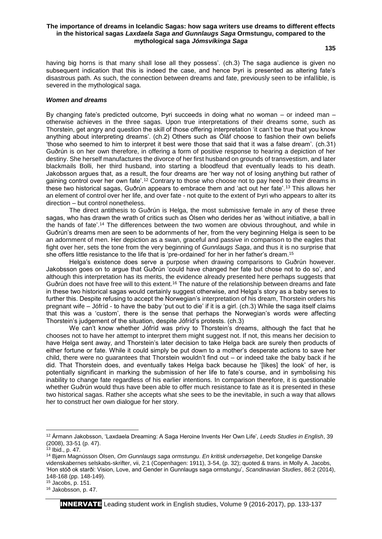#### **The importance of dreams in Icelandic Sagas: how saga writers use dreams to different effects in the historical sagas** *Laxdaela Saga and Gunnlaugs Saga* **Ormstungu, compared to the mythological saga** *Jómsvíkinga Saga*

**135**

having big horns is that many shall lose all they possess'. (ch.3) The saga audience is given no subsequent indication that this is indeed the case, and hence Þyri is presented as altering fate's disastrous path. As such, the connection between dreams and fate, previously seen to be infallible, is severed in the mythological saga.

#### *Women and dreams*

By changing fate's predicted outcome, Þyri succeeds in doing what no woman – or indeed man – otherwise achieves in the three sagas. Upon true interpretations of their dreams some, such as Thorstein, get angry and question the skill of those offering interpretation 'it can't be true that you know anything about interpreting dreams'. (ch.2) Others such as Óláf choose to fashion their own beliefs 'those who seemed to him to interpret it best were those that said that it was a false dream'. (ch.31) Guðrún is on her own therefore, in offering a form of positive response to hearing a depiction of her destiny. She herself manufactures the divorce of her first husband on grounds of transvestism, and later blackmails Bolli, her third husband, into starting a bloodfeud that eventually leads to his death. Jakobsson argues that, as a result, the four dreams are 'her way not of losing anything but rather of gaining control over her own fate'.<sup>12</sup> Contrary to those who choose not to pay heed to their dreams in these two historical sagas, Guðrún appears to embrace them and 'act out her fate'.<sup>13</sup> This allows her an element of control over her life, and over fate - not quite to the extent of Þyri who appears to alter its direction – but control nonetheless.

The direct antithesis to Guðrún is Helga, the most submissive female in any of these three sagas, who has drawn the wrath of critics such as Ólsen who derides her as 'without initiative, a ball in the hands of fate'.<sup>14</sup> The differences between the two women are obvious throughout, and while in Guðrún's dreams men are seen to be adornments of her, from the very beginning Helga is seen to be an adornment of men. Her depiction as a swan, graceful and passive in comparison to the eagles that fight over her, sets the tone from the very beginning of *Gunnlaugs Saga*, and thus it is no surprise that she offers little resistance to the life that is 'pre-ordained' for her in her father's dream.<sup>15</sup>

Helga's existence does serve a purpose when drawing comparisons to Guðrún however. Jakobsson goes on to argue that Guðrún 'could have changed her fate but chose not to do so', and although this interpretation has its merits, the evidence already presented here perhaps suggests that Guðrún does not have free will to this extent.<sup>16</sup> The nature of the relationship between dreams and fate in these two historical sagas would certainly suggest otherwise, and Helga's story as a baby serves to further this. Despite refusing to accept the Norwegian's interpretation of his dream, Thorstein orders his pregnant wife – Jófríd - to have the baby 'put out to die' if it is a girl. (ch.3) While the saga itself claims that this was a 'custom', there is the sense that perhaps the Norwegian's words were affecting Thorstein's judgement of the situation, despite Jófríd's protests. (ch.3)

We can't know whether Jófríd was privy to Thorstein's dreams, although the fact that he chooses not to have her attempt to interpret them might suggest not. If not, this means her decision to have Helga sent away, and Thorstein's later decision to take Helga back are surely then products of either fortune or fate. While it could simply be put down to a mother's desperate actions to save her child, there were no guarantees that Thorstein wouldn't find out – or indeed take the baby back if he did. That Thorstein does, and eventually takes Helga back because he '[likes] the look' of her, is potentially significant in marking the submission of her life to fate's course, and in symbolising his inability to change fate regardless of his earlier intentions. In comparison therefore, it is questionable whether Guðrún would thus have been able to offer much resistance to fate as it is presented in these two historical sagas. Rather she accepts what she sees to be the inevitable, in such a way that allows her to construct her own dialogue for her story.

**.** 

 $15$  Jacobs, p. 151.

<sup>12</sup> Ármann Jakobsson, 'Laxdaela Dreaming: A Saga Heroine Invents Her Own Life', *Leeds Studies in English*, 39 (2008), 33-51 (p. 47).

 $13$  Ibid., p. 47.

<sup>14</sup> Bjørn Magnússon Ólsen, *Om Gunnlaugs saga ormstungu. En kritisk undersøgelse*, Det kongelige Danske videnskabernes selskabs-skrifter, vii, 2:1 (Copenhagen: 1911), 3-54, (p. 32); quoted & trans. in Molly A. Jacobs, 'Hon stóð ok starði: Vision, Love, and Gender in Gunnlaugs saga ormstungu', *Scandinavian Studies*, 86:2 (2014), 148-168 (pp. 148-149).

<sup>16</sup> Jakobsson, p. 47.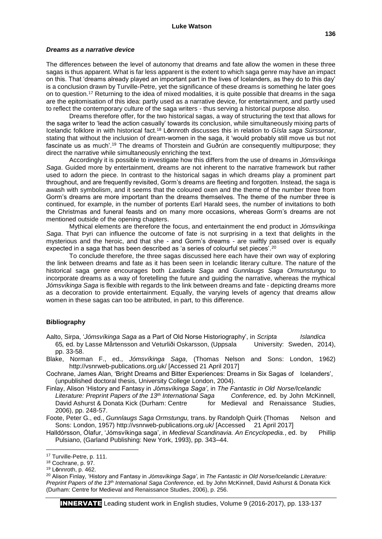#### *Dreams as a narrative device*

The differences between the level of autonomy that dreams and fate allow the women in these three sagas is thus apparent. What is far less apparent is the extent to which saga genre may have an impact on this. That 'dreams already played an important part in the lives of Icelanders, as they do to this day' is a conclusion drawn by Turville-Petre, yet the significance of these dreams is something he later goes on to question.<sup>17</sup> Returning to the idea of mixed modalities, it is quite possible that dreams in the saga are the epitomisation of this idea: partly used as a narrative device, for entertainment, and partly used to reflect the contemporary culture of the saga writers - thus serving a historical purpose also.

Dreams therefore offer, for the two historical sagas, a way of structuring the text that allows for the saga writer to 'lead the action casually' towards its conclusion, while simultaneously mixing parts of Icelandic folklore in with historical fact.<sup>18</sup> L**ö**nnroth discusses this in relation to *Gísla saga Súrssonar*, stating that without the inclusion of dream-women in the saga, it 'would probably still move us but not fascinate us as much'.<sup>19</sup> The dreams of Thorstein and Guðrún are consequently multipurpose; they direct the narrative while simultaneously enriching the text.

Accordingly it is possible to investigate how this differs from the use of dreams in *Jómsvíkinga Saga*. Guided more by entertainment, dreams are not inherent to the narrative framework but rather used to adorn the piece. In contrast to the historical sagas in which dreams play a prominent part throughout, and are frequently revisited, Gorm's dreams are fleeting and forgotten. Instead, the saga is awash with symbolism, and it seems that the coloured oxen and the theme of the number three from Gorm's dreams are more important than the dreams themselves. The theme of the number three is continued, for example, in the number of portents Earl Harald sees, the number of invitations to both the Christmas and funeral feasts and on many more occasions, whereas Gorm's dreams are not mentioned outside of the opening chapters.

Mythical elements are therefore the focus, and entertainment the end product in *Jómsvíkinga Saga*. That Þyri can influence the outcome of fate is not surprising in a text that delights in the mysterious and the heroic, and that she - and Gorm's dreams - are swiftly passed over is equally expected in a saga that has been described as 'a series of colourful set pieces'.<sup>20</sup>

To conclude therefore, the three sagas discussed here each have their own way of exploring the link between dreams and fate as it has been seen in Icelandic literary culture. The nature of the historical saga genre encourages both *Laxdaela Saga* and *Gunnlaugs Saga Ormunstungu* to incorporate dreams as a way of foretelling the future and guiding the narrative, whereas the mythical *Jómsvíkinga Saga* is flexible with regards to the link between dreams and fate - depicting dreams more as a decoration to provide entertainment. Equally, the varying levels of agency that dreams allow women in these sagas can too be attributed, in part, to this difference.

### **Bibliography**

Aalto, Sirpa, '*Jómsvíkinga Saga* as a Part of Old Norse Historiography', in *Scripta Islandica*  65*,* ed. by Lasse Mårtensson and Veturliði Oskarsson, (Uppsala University: Sweden, 2014), pp. 33-58.

- Blake, Norman F., ed., *Jómsvíkinga Saga*, (Thomas Nelson and Sons: London, 1962) http://vsnrweb-publications.org.uk/ [Accessed 21 April 2017]
- Cochrane, James Alan, 'Bright Dreams and Bitter Experiences: Dreams in Six Sagas of Icelanders', (unpublished doctoral thesis, University College London, 2004).
- Finlay, Alison 'History and Fantasy in *Jómsvíkinga Saga'*, in *The Fantastic in Old Norse/Icelandic Literature: Preprint Papers of the 13th International Saga Conference*, ed. by John McKinnell, David Ashurst & Donata Kick (Durham: Centre for Medieval and Renaissance Studies, 2006), pp. 248-57.
- Foote, Peter G., ed., *Gunnlaugs Saga Ormstungu,* trans. by Randolph Quirk (Thomas Nelson and Sons: London, 1957) http://vsnrweb-publications.org.uk/ [Accessed 21 April 2017]

Halldórsson, Ólafur, 'Jómsvíkinga saga', in *Medieval Scandinavia. An Encyclopedia.*, ed. by Phillip Pulsiano, (Garland Publishing: New York, 1993), pp. 343–44.

 $\overline{a}$ 

<sup>17</sup> Turville-Petre, p. 111.

<sup>18</sup> Cochrane, p. 97.

<sup>19</sup> L**ö**nnroth, p. 462.

<sup>20</sup> Alison Finlay, 'History and Fantasy in *Jómsvíkinga Saga'*, in *The Fantastic in Old Norse/Icelandic Literature: Preprint Papers of the 13th International Saga Conference*, ed. by John McKinnell, David Ashurst & Donata Kick (Durham: Centre for Medieval and Renaissance Studies, 2006), p. 256.